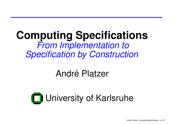#### **Computing Specifications From Implementation to** Specification by Construction.

#### André Platzer

# **T** University of Karlsruhe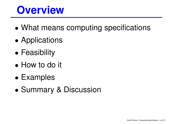## **Overview**

- •What means computing specifications
- •**• Applications**
- •**• Feasibility**
- How to do it
- $\bullet$ Examples
- •Summary & Discussion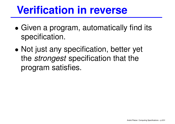## **Verification in reverse**

- • Given <sup>a</sup> program, automatically find its specification.
- $\bullet$ • Not just any specification, better yet the strongest specification that the program satisfies.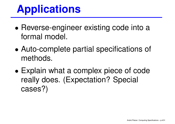# **Applications**

- Reverse-engineer existing code into a formal model.
- Auto-complete partial specifications of methods.
- • Explain what <sup>a</sup> comple x piece of code really does. (Expectation? Special cases?)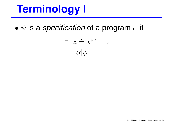## **Terminology I**

• $\bullet\,\,\psi$  is a specification of a program  $\alpha$  if

$$
\vdash \mathbf{x} \doteq x^{\text{pre}} \rightarrow
$$

$$
[\alpha]\psi
$$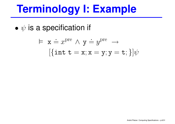# **Terminology I: Example**

• $\bullet\hspace{1mm} \psi$  is a specification if

$$
\vdash x \doteq x^{\text{pre}} \land y \doteq y^{\text{pre}} \rightarrow
$$

$$
[\{\texttt{int } t = x; x = y; y = t; \}] \psi
$$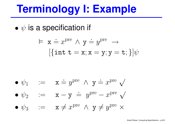# **Terminology I: Example**

• $\bullet\hspace{1mm} \psi$  is a specification if

$$
\vdash x \doteq x^{\text{pre}} \land y \doteq y^{\text{pre}} \rightarrow
$$

$$
[\{\texttt{int } t = x; x = y; y = t; \}] \psi
$$

\n- \n
$$
\psi_1 := \mathbf{x} \doteq y^{\text{pre}} \wedge \mathbf{y} \doteq x^{\text{pre}} \sqrt{\mathbf{y}^{\text{pre}}}
$$
\n
\n- \n $\psi_2 := \mathbf{x} - \mathbf{y} \doteq y^{\text{pre}} - x^{\text{pre}} \sqrt{\mathbf{y}^{\text{pre}}}$ \n
\n- \n $\psi_3 := \mathbf{x} \neq x^{\text{pre}} \wedge \mathbf{y} \neq y^{\text{pre}} \times$ \n
\n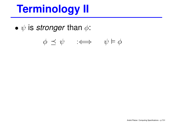## **Terminology II**

• $\bullet\hspace{0.1cm}\psi$  is stronger than  $\phi$ :

$$
\phi \preceq \psi \qquad :\Longleftrightarrow \qquad \psi \vDash \phi
$$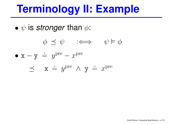## **Terminology II: Example**

• $\bullet\hspace{0.1cm}\psi$  is stronger than  $\phi$ :

$$
\begin{array}{rcl}\n\phi & \preceq \psi & :\iff & \psi \models \phi \\
\bullet \mathbf{x} - \mathbf{y} & \stackrel{\cdot}{=} y^{\text{pre}} - x^{\text{pre}} \\
\preceq & \mathbf{x} \stackrel{\cdot}{=} y^{\text{pre}} \land \mathbf{y} \stackrel{\cdot}{=} x^{\text{pre}}\n\end{array}
$$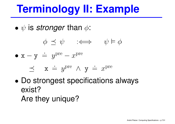## **Terminology II: Example**

• $\bullet\hspace{0.1cm}\psi$  is stronger than  $\phi$ :

$$
\phi \preceq \psi \qquad :\Longleftrightarrow \qquad \psi \vDash \phi
$$

•  $x - y = 0$  $\;\dot{=}\;\; y^{\rm pre}-x^{\rm pre}$ 

$$
\preceq
$$
  $\mathbf{x} \doteq y^{\text{pre}} \wedge \mathbf{y} \doteq x^{\text{pre}}$ 

 $\bullet$  Do strongest specifications always exist? Are they unique?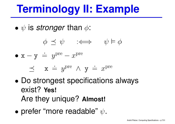## **Terminology II: Example**

• $\bullet\hspace{0.1cm}\psi$  is stronger than  $\phi$ :

$$
\phi \preceq \psi \qquad :\Longleftrightarrow \qquad \psi \vDash \phi
$$

•  $x - y = 0$  $\;\dot{=}\;\; y^{\rm pre}-x^{\rm pre}$ 

$$
\preceq
$$
 x  $\doteq y^{\text{pre}} \wedge y \doteq x^{\text{pre}}$ 

- $\bullet$  Do strongest specifications always exist? **Yes!** Are they unique? **Almost!**
- •• prefer "more readable"  $\psi$ .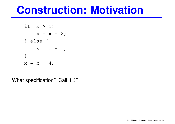#### **Construction: Motivation**

if 
$$
(x > 9)
$$
 {  
\n $x = x + 2;$   
\n $\}$  else {  
\n $x = x - 1;$   
\n $\}$   
\n $x = x + 4;$ 

What specification? Call it  $\mathcal{C}$ ?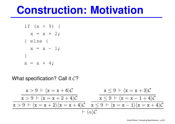#### **Construction: Motivation**

if 
$$
(x > 9)
$$
 {  
\n $x = x + 2;$   
\n} else {  
\n $x = x - 1;$   
\n}  
\n $x = x + 4;$ 

#### What specification? Call it  $\mathcal{C}$ ?

x>9 `h x=x+ <sup>6</sup>iC x>9 `h x=x+ 2+ <sup>4</sup>iC x>9 `h x=x+ <sup>2</sup>ih x=x+ <sup>4</sup>iC x≤ 9 `h x=x+ <sup>3</sup>iC x≤ 9 `h x=x1+ <sup>4</sup>iC x≤ 9 `h x=x−<sup>1</sup>ih x=x+ <sup>4</sup>iC `h <sup>α</sup>iC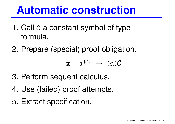## **Automatic construction**

- 1. Call  $\cal C$  a constant symbol of type formula.
- 2. Prepare (special) proof obligation.

$$
\vdash \mathbf{x} \doteq x^{\mathrm{pre}} \ \rightarrow \ \langle \alpha \rangle \mathcal{C}
$$

- 3. Perform sequent calculus.
- 4. Use (failed) proof attempts.
- 5. Extract specification.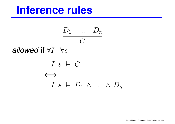## **Inference rules**

$$
\frac{D_1 \cdots D_n}{C}
$$

allowed if  $\forall I \ \forall s$ 

$$
I, s \models C
$$
  

$$
\iff I, s \models D_1 \land \dots \land D_n
$$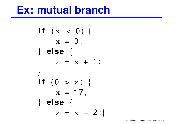#### **Ex: mutual branch**

```
i f ( x < 0 ) {
     x = 0;} else {
     x = x + 1;
}<br>}
i f ( 0 > x ) {
     x = 17;
} else {
     x = x + 2;
```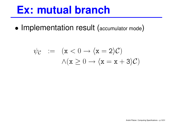#### **Ex: mutual branch**

•• Implementation result (accumulator mode)

$$
\psi_{\mathcal{C}} := (\mathbf{x} < 0 \to \langle \mathbf{x} = 2 \rangle \mathcal{C})
$$
\n
$$
\wedge (\mathbf{x} \geq 0 \to \langle \mathbf{x} = \mathbf{x} + 3 \rangle \mathcal{C})
$$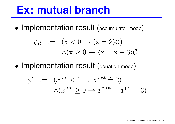#### **Ex: mutual branch**

•• Implementation result (accumulator mode)

$$
\psi_{\mathcal{C}} := (\mathbf{x} < 0 \to \langle \mathbf{x} = 2 \rangle \mathcal{C})
$$
\n
$$
\wedge (\mathbf{x} \geq 0 \to \langle \mathbf{x} = \mathbf{x} + 3 \rangle \mathcal{C})
$$

•• Implementation result (equation mode)

$$
\psi' := (x^{\text{pre}} < 0 \to x^{\text{post}} \doteq 2)
$$
  

$$
\wedge (x^{\text{pre}} \ge 0 \to x^{\text{post}} \doteq x^{\text{pre}} + 3)
$$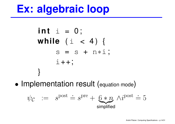## **Ex: algebraic loop**

**int** i <sup>=</sup> 0 ; **while** ( <sup>i</sup> <sup>&</sup>lt; 4 ) { s <sup>=</sup> <sup>s</sup> <sup>+</sup> <sup>n</sup><sup>∗</sup>i ; i++; }

•• Implementation result (equation mode)

$$
\psi_{\mathcal{C}} := s^{\text{post}} \doteq s^{\text{pre}} + \underbrace{6 * n}_{\text{simplified}} \wedge i^{\text{post}} \doteq 5
$$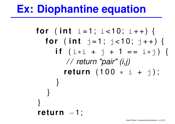## **Ex: Diophantine equation**

**for** (  $int$   $i = 1$ ;  $i < 10$ ;  $i + +$  ) { **for** (int  $j = 1$ ;  $j < 10$ ;  $j + +$ ) { **i f** ( <sup>i</sup>∗<sup>i</sup> <sup>+</sup> j <sup>+</sup> 1 <sup>=</sup> <sup>=</sup> <sup>i</sup>∗j ) { / / return "pair" (i,j) **return** ( 1 0 0 <sup>∗</sup> <sup>i</sup> <sup>+</sup> j ) ; } }<br>} **} return** <sup>−</sup>1;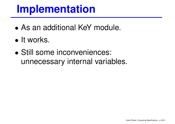## **Implementation**

- As an additional KeY module.
- It works.
- Still some incon veniences: unnecessar y internal variables.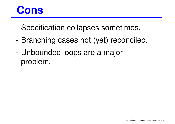

- Specification collapses sometimes.
- -Branching cases not (yet) reconciled.
- - Unbounded loops are <sup>a</sup> major problem.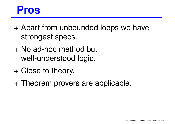#### **Pros**

- + Apart from unbounded loops we have strongest specs.
- + No ad-hoc method but well-understood logic.
- + Close to theory.
- + Theorem provers are applicable.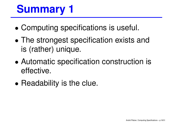# **Summary 1**

- •Computing specifications is useful.
- • The strongest specification exists and is (rather) unique.
- $\bullet$  Automatic specification construction is effective.
- •• Readability is the clue.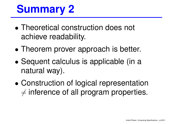# **Summary 2**

- Theoretical construction does not achieve readability.
- Theorem prover approach is better.
- • Sequent calculus is applicable (in <sup>a</sup> natural way).
- • Construction of logical representation  $\neq$  inference of all program properties.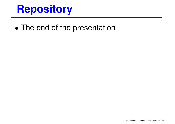## **Repository**

•• The end of the presentation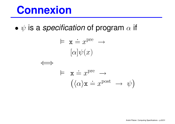## **Connexion**

• $\bullet\,\,\psi$  is a specification of program  $\alpha$  if

$$
\models \mathbf{x} \doteq x^{\text{pre}} \rightarrow
$$
  
\n
$$
[\alpha] \psi(x)
$$
  
\n
$$
\Leftrightarrow \mathbf{x} \doteq x^{\text{pre}} \rightarrow
$$
  
\n
$$
(\langle \alpha \rangle \mathbf{x} \doteq x^{\text{post}} \rightarrow \psi)
$$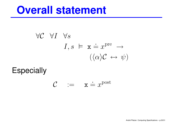#### **Overall statement**

$$
\forall C \ \forall I \ \forall s
$$
  
\n $I, s \models \mathbf{x} \doteq x^{\text{pre}} \rightarrow$   
\n $(\langle \alpha \rangle C \leftrightarrow \psi)$ 

**Especially** 

$$
\mathcal{C} \quad := \quad \mathbf{x} \doteq x^{\text{post}}
$$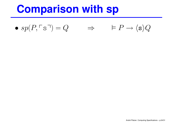## **Comparison with sp**

 $\bullet \; sp(P, \ulcorner s$  $\Box$  $\bigcap$  $=Q$ ⇒  $\vDash P \rightarrow \langle$  $\mathbf{s} \rangle Q$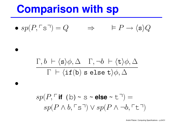#### **Comparison with sp**

•

•

$$
\bullet \; sp(P,\ulcorner s \urcorner) = Q \qquad \Rightarrow \qquad \vDash P \to \langle \mathbf{s} \rangle Q
$$

#### $\Gamma,b \ \vdash \langle$  $\langle \mathbf{s} \rangle \phi, \Delta \quad \Gamma, \neg b \ \vdash \langle \mathbf{t} \rangle \phi, \Delta$  $\Gamma$   $\vdash$   $\langle$ if $\left($ b $\right)$ s else t $\rangle{\phi, \Delta}$

 $sp(P,\ulcorner$  **if** <code>(b)</code>  $\sim$  $\sim$  S  $\sim$  **else**  $\sim$  $\sim t$  $\lnot$  $\bigcap$ =  $sp(P\wedge b,\ulcorner$ ' S  $\overline{\phantom{0}}$  $\lnot) \lor sp(P \land \lnot b, \ulcorner)$ ' t  $\Box$  $\bigcap$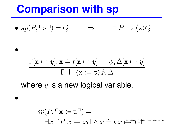#### **Comparison with sp**

•

•

$$
\bullet \; sp(P,\ulcorner s\urcorner) = Q \qquad \Rightarrow \qquad \vDash P \to \langle \mathtt{s} \rangle Q
$$

$$
\frac{\Gamma[\mathbf{x} \mapsto y], \mathbf{x} \doteq t[\mathbf{x} \mapsto y] + \phi, \Delta[\mathbf{x} \mapsto y]}{\Gamma + \langle \mathbf{x} := \mathbf{t} \rangle \phi, \Delta}
$$

where  $y$  is a new logical variable.

$$
sp(P, \ulcorner \mathbf{x} \coloneqq t \urcorner) =
$$
  

$$
\exists x \in (P[x \mapsto x_0] \land x \doteq t[x \mapsto x_0] \land x \preceq t[x \mapsto x_0] \land x \preceq t[x \mapsto x_0] \land x \preceq t[x \mapsto x_0] \land x \preceq t[x \mapsto x_0] \land x \preceq t[x \mapsto x_0] \land x \preceq t[x \mapsto x_0] \land x \preceq t[x \mapsto x_0] \land x \preceq t[x \mapsto x_0] \land x \preceq t[x \mapsto x_0] \land x \preceq t[x \mapsto x_0] \land x \preceq t[x \mapsto x_0] \land x \preceq t[x \mapsto x_0] \land x \preceq t[x \mapsto x_0] \land x \preceq t[x \mapsto x_0] \land x \preceq t[x \mapsto x_0] \land x \preceq t[x \mapsto x_0] \land x \preceq t[x \mapsto x_0] \land x \preceq t[x \mapsto x_0] \land x \preceq t[x \mapsto x_0] \land x \preceq t[x \mapsto x_0] \land x \preceq t[x \mapsto x_0] \land x \preceq t[x \mapsto x_0] \land x \preceq t[x \mapsto x_0] \land x \preceq t[x \mapsto x_0] \land x \preceq t[x \mapsto x_0] \land x \preceq t[x \mapsto x_0] \land x \preceq t[x \mapsto x_0] \land x \preceq t[x \mapsto x_0] \land x \preceq t[x \mapsto x_0] \land x \preceq t[x \mapsto x_0] \land x \preceq t[x \mapsto x_0] \land x \preceq t[x \mapsto x_0] \land x \preceq t[x \mapsto x_0] \land x \preceq t[x \mapsto x_0] \land x \preceq t[x \mapsto x_0] \land x \preceq t[x \mapsto x_0] \land x \preceq t[x \mapsto x_0] \land x \preceq t[x \mapsto x_0] \land x \preceq t[x \mapsto x_0] \land x \preceq t[x \mapsto x_0] \land x \preceq t[x \mapsto x_0] \land x \preceq t[x \mapsto x_0] \land x \preceq t[x \mapsto x_0] \land x \preceq t[x \
$$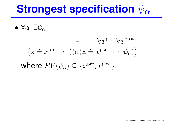## **Strongest specification** ψ<sup>α</sup>

• $\bullet$   $\forall \alpha$   $\exists \psi_\alpha$ 

$$
\models \forall x^{\text{pre}} \forall x^{\text{post}}
$$

$$
(\mathbf{x} \doteq x^{\text{pre}} \rightarrow (\langle \alpha \rangle \mathbf{x} \doteq x^{\text{post}} \leftrightarrow \psi_{\alpha}))
$$
  
where  $FV(\psi_{\alpha}) \subseteq \{x^{\text{pre}}, x^{\text{post}}\}.$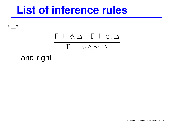$``+"$ 

$$
\frac{\Gamma\ \vdash\phi,\Delta\quad \Gamma\ \vdash\psi,\Delta}{\Gamma\ \vdash\phi\land\psi,\Delta}
$$

and-right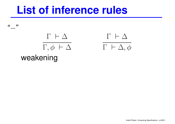",,,



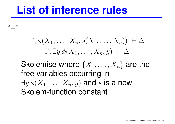",,

$$
\frac{\Gamma, \phi(X_1, \ldots, X_n, s(X_1, \ldots, X_n)) + \Delta}{\Gamma, \exists y \, \phi(X_1, \ldots, X_n, y) + \Delta}
$$

Skolemise where  $\{X_1, \ldots, X_n\}$  are the free variables occurring in  $\exists y \phi(X_1, \ldots, X_n, y)$  and s is a new Skolem-function constant.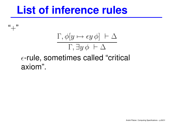$``+"$ 

## $\Gamma, \phi[y \mapsto \epsilon y \phi] \vdash \Delta$  $\Gamma$ ,  $\exists y \phi \vdash \Delta$

#### $\epsilon$ -rule, sometimes called "critical axiom".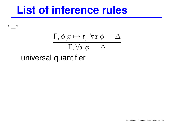$``+"$ 

$$
\frac{\Gamma, \phi[x \mapsto t], \forall x \, \phi \ \vdash \Delta}{\Gamma, \forall x \, \phi \ \vdash \Delta}
$$

universal quantifier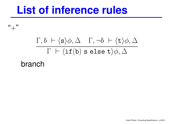$``+"$ 

#### $\Gamma, b \ \vdash \langle s \rangle \phi, \Delta \quad \Gamma, \neg b \ \vdash \langle t \rangle \phi, \Delta$  $\Gamma ~\vdash \langle \texttt{if}(\texttt{b}) \texttt{ s} \texttt{ else } \texttt{t}\rangle \phi , \Delta$

branch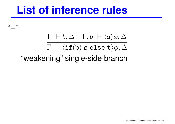",,

> $\Gamma \; \vdash b, \Delta \quad \Gamma, b \; \vdash \langle \texttt{s} \rangle \phi, \Delta$  $\Gamma ~\vdash \langle \texttt{if}(\texttt{b}) \texttt{ s} \texttt{ else } \texttt{t}\rangle \phi , \Delta$ "weakening" single-side branch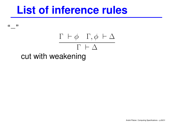",,

#### $\Gamma \ \vdash \phi \quad \Gamma, \phi \ \vdash \Delta$  $\Gamma \, \vdash \Delta$ cut with weakening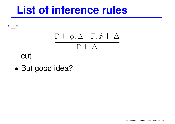

cut.

 $``+"$ 

•But good idea?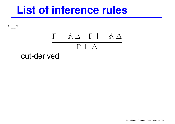$``+"$  $\Gamma \ \vdash \phi, \Delta \quad \Gamma \ \vdash \neg \phi, \Delta$  $\Gamma \, \vdash \Delta$ cut-derived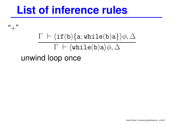$``+"$ 

#### $\Gamma ~\vdash \langle \texttt{if}(\texttt{b})\{\texttt{a}; \texttt{while}(\texttt{b})\texttt{a}\}\rangle \phi, \Delta$  $\Gamma ~\vdash \langle \texttt{while}(\texttt{b})\texttt{a}\rangle\phi, \Delta$ unwind loop once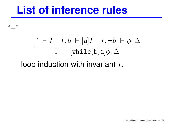",,,

$$
\frac{\Gamma~\vdash I~~I,b \;\vdash [\mathtt{a}] I~~I,\neg b \;\vdash\; \phi, \Delta}{\Gamma~\vdash [\mathtt{while}(\mathtt{b})\mathtt{a}] \phi, \Delta}
$$

#### loop induction with invariant  $I$ .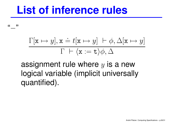""

$$
\frac{\Gamma[\mathbf{x} \mapsto y], \mathbf{x} \doteq t[\mathbf{x} \mapsto y] + \phi, \Delta[\mathbf{x} \mapsto y]}{\Gamma + \langle \mathbf{x} := \mathbf{t} \rangle \phi, \Delta}
$$

assignment rule where  $y$  is a new logical variable (implicit universally quantified).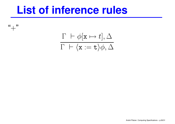"+"

 $\Gamma ~\vdash \phi[\mathtt{x} \mapsto t], \Delta$  $\Gamma \ \vdash \langle \mathtt{x} := \mathtt{t} \rangle \phi, \Delta$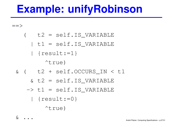## **Example: unifyRobinson**

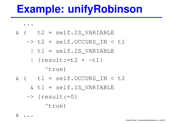## **Example: unifyRobinson**

. . & $t2 = \text{self.IS_VARIABLE}$ -> t2 <sup>+</sup> self.OCCURS\_IN <sup>&</sup>lt; t1 | t1 <sup>=</sup> self.IS\_VARIABLE | {result:=t2 <sup>+</sup> -t1} ^true) & ( t1 <sup>+</sup> self.OCCURS\_IN <sup>&</sup>lt; t2 & t1 <sup>=</sup> self.IS\_VARIABLE -> {result:=0} ^true)

 $\& \quad \bullet \quad \bullet \quad \bullet$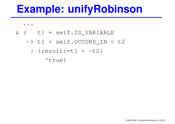## **Example: unifyRobinson**

- . .
- $\delta$  (  $t1 = \text{self}.IS_V \text{ARIABLE}$

#### -> t1 <sup>+</sup> self.OCCURS\_IN <sup>&</sup>lt; t2  $\{result:=t1 + -t2\}$

^true)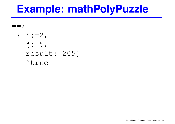#### **Example: mathPolyPuzzle**

```
= >\{ i := 2,j := 5,result:=205}
   ^true
```